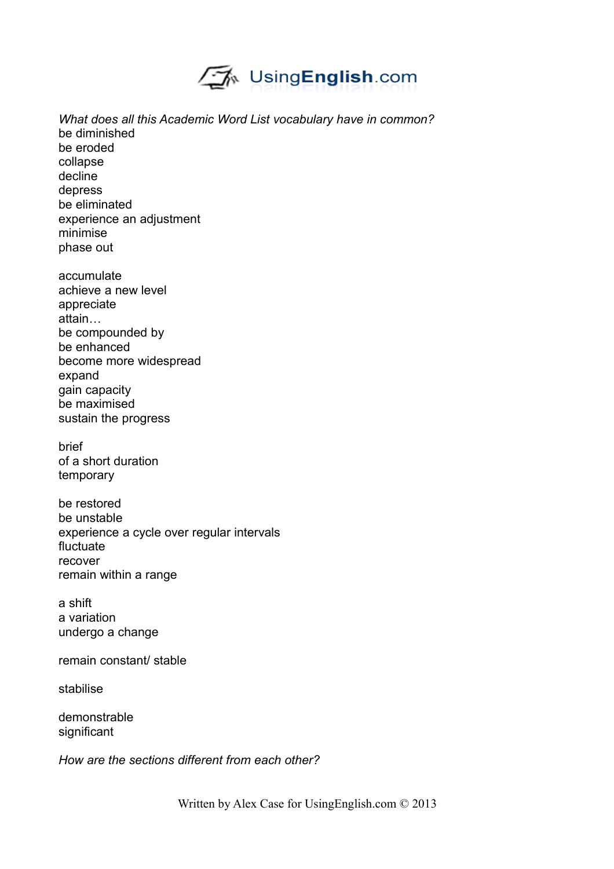

*What does all this Academic Word List vocabulary have in common?* be diminished be eroded collapse decline depress be eliminated experience an adjustment minimise phase out accumulate

achieve a new level appreciate attain… be compounded by be enhanced become more widespread expand gain capacity be maximised sustain the progress

brief of a short duration temporary

be restored be unstable experience a cycle over regular intervals fluctuate recover remain within a range

a shift a variation undergo a change

remain constant/ stable

stabilise

demonstrable significant

*How are the sections different from each other?*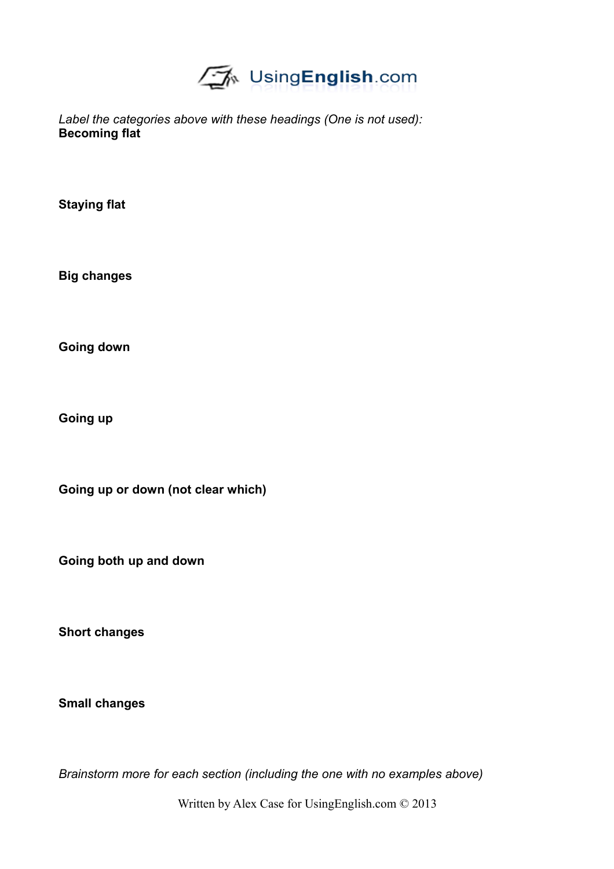

*Label the categories above with these headings (One is not used):* **Becoming flat**

**Staying flat**

**Big changes**

**Going down**

**Going up**

**Going up or down (not clear which)**

**Going both up and down**

**Short changes**

**Small changes**

*Brainstorm more for each section (including the one with no examples above)*

Written by Alex Case for UsingEnglish.com © 2013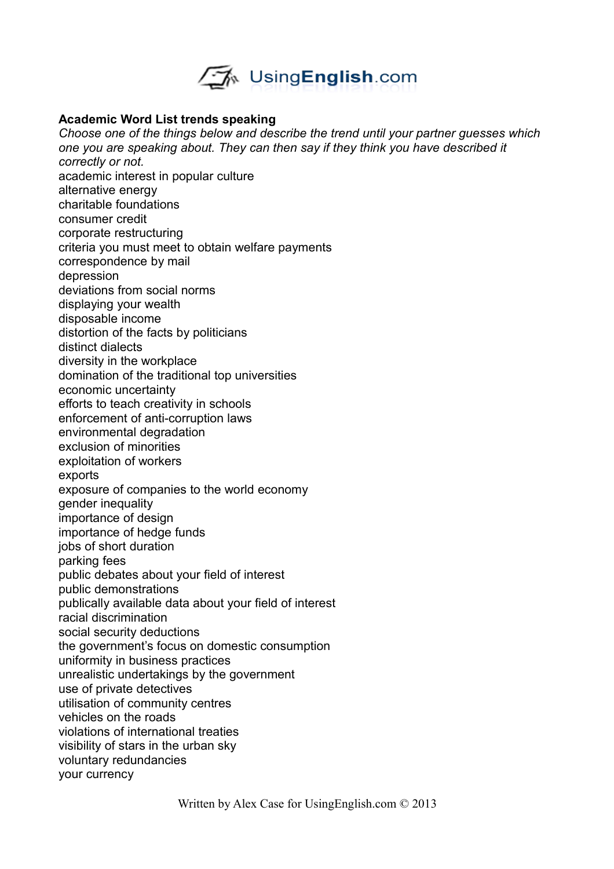

### **Academic Word List trends speaking**

*Choose one of the things below and describe the trend until your partner guesses which one you are speaking about. They can then say if they think you have described it correctly or not.* academic interest in popular culture alternative energy charitable foundations consumer credit corporate restructuring criteria you must meet to obtain welfare payments correspondence by mail depression deviations from social norms displaying your wealth disposable income distortion of the facts by politicians distinct dialects diversity in the workplace domination of the traditional top universities economic uncertainty efforts to teach creativity in schools enforcement of anti-corruption laws environmental degradation exclusion of minorities exploitation of workers exports exposure of companies to the world economy gender inequality importance of design importance of hedge funds jobs of short duration parking fees public debates about your field of interest public demonstrations publically available data about your field of interest racial discrimination social security deductions the government's focus on domestic consumption uniformity in business practices unrealistic undertakings by the government use of private detectives utilisation of community centres vehicles on the roads violations of international treaties visibility of stars in the urban sky voluntary redundancies your currency